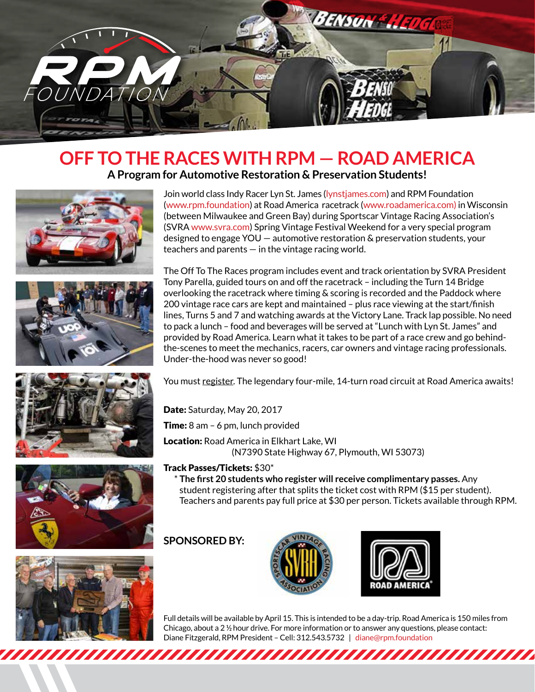

## **OFF TO THE RACES WITH RPM — ROAD AMERICA A Program for Automotive Restoration & Preservation Students!**











Join world class Indy Racer Lyn St. James (lynstjames.com) and RPM Foundation (www.rpm.foundation) at Road America racetrack (www.roadamerica.com) in Wisconsin (between Milwaukee and Green Bay) during Sportscar Vintage Racing Association's (SVRA www.svra.com) Spring Vintage Festival Weekend for a very special program designed to engage YOU — automotive restoration & preservation students, your teachers and parents  $-$  in the vintage racing world.

The Off To The Races program includes event and track orientation by SVRA President Tony Parella, guided tours on and off the racetrack – including the Turn 14 Bridge overlooking the racetrack where timing & scoring is recorded and the Paddock where 200 vintage race cars are kept and maintained – plus race viewing at the start/finish lines, Turns 5 and 7 and watching awards at the Victory Lane. Track lap possible. No need to pack a lunch – food and beverages will be served at "Lunch with Lyn St. James" and provided by Road America. Learn what it takes to be part of a race crew and go behindthe-scenes to meet the mechanics, racers, car owners and vintage racing professionals. Under-the-hood was never so good!

You must register. The legendary four-mile, 14-turn road circuit at Road America awaits!

Date: Saturday, May 20, 2017

Time: 8 am - 6 pm, lunch provided

Location: Road America in Elkhart Lake, WI (N7390 State Highway 67, Plymouth, WI 53073)

#### Track Passes/Tickets: \$30\*

 \* **The first 20 students who register will receive complimentary passes.** Any student registering after that splits the ticket cost with RPM (\$15 per student). Teachers and parents pay full price at \$30 per person. Tickets available through RPM.

### **SPONSORED BY:**





Full details will be available by April 15. This is intended to be a day-trip. Road America is 150 miles from Chicago, about a 2 ½ hour drive. For more information or to answer any questions, please contact: Diane Fitzgerald, RPM President – Cell: 312.543.5732 | diane@rpm.foundation